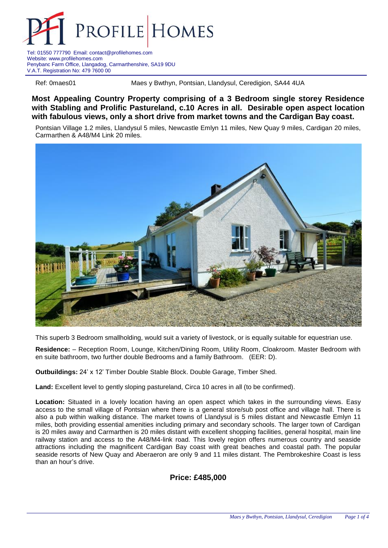

Tel: 01550 777790 Email: contact@profilehomes.com Website: www.profilehomes.com Penybanc Farm Office, Llangadog, Carmarthenshire, SA19 9DU V.A.T. Registration No: 479 7600 00

Ref: 0maes01 Maes y Bwthyn, Pontsian, Llandysul, Ceredigion, SA44 4UA

**Most Appealing Country Property comprising of a 3 Bedroom single storey Residence with Stabling and Prolific Pastureland, c.10 Acres in all. Desirable open aspect location with fabulous views, only a short drive from market towns and the Cardigan Bay coast.**

Pontsian Village 1.2 miles, Llandysul 5 miles, Newcastle Emlyn 11 miles, New Quay 9 miles, Cardigan 20 miles, Carmarthen & A48/M4 Link 20 miles.



This superb 3 Bedroom smallholding, would suit a variety of livestock, or is equally suitable for equestrian use.

**Residence:** – Reception Room, Lounge, Kitchen/Dining Room, Utility Room, Cloakroom. Master Bedroom with en suite bathroom, two further double Bedrooms and a family Bathroom. (EER: D).

**Outbuildings:** 24' x 12' Timber Double Stable Block. Double Garage, Timber Shed.

**Land:** Excellent level to gently sloping pastureland, Circa 10 acres in all (to be confirmed).

**Location:** Situated in a lovely location having an open aspect which takes in the surrounding views. Easy access to the small village of Pontsian where there is a general store/sub post office and village hall. There is also a pub within walking distance. The market towns of Llandysul is 5 miles distant and Newcastle Emlyn 11 miles, both providing essential amenities including primary and secondary schools. The larger town of Cardigan is 20 miles away and Carmarthen is 20 miles distant with excellent shopping facilities, general hospital, main line railway station and access to the A48/M4-link road. This lovely region offers numerous country and seaside attractions including the magnificent Cardigan Bay coast with great beaches and coastal path. The popular seaside resorts of New Quay and Aberaeron are only 9 and 11 miles distant. The Pembrokeshire Coast is less than an hour's drive.

**Price: £485,000**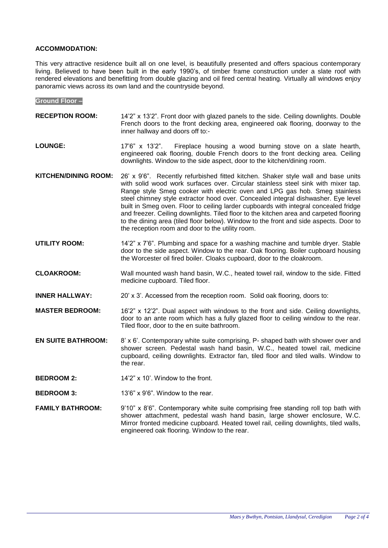### **ACCOMMODATION:**

This very attractive residence built all on one level, is beautifully presented and offers spacious contemporary living. Believed to have been built in the early 1990's, of timber frame construction under a slate roof with rendered elevations and benefitting from double glazing and oil fired central heating. Virtually all windows enjoy panoramic views across its own land and the countryside beyond.

#### **Ground Floor –**

| <b>RECEPTION ROOM:</b>      | 14'2" x 13'2". Front door with glazed panels to the side. Ceiling downlights. Double<br>French doors to the front decking area, engineered oak flooring, doorway to the<br>inner hallway and doors off to:-                                                                                                                                                                                                                                                                                                                                                                                                                                                              |
|-----------------------------|--------------------------------------------------------------------------------------------------------------------------------------------------------------------------------------------------------------------------------------------------------------------------------------------------------------------------------------------------------------------------------------------------------------------------------------------------------------------------------------------------------------------------------------------------------------------------------------------------------------------------------------------------------------------------|
| <b>LOUNGE:</b>              | 17'6" x 13'2". Fireplace housing a wood burning stove on a slate hearth,<br>engineered oak flooring, double French doors to the front decking area. Ceiling<br>downlights. Window to the side aspect, door to the kitchen/dining room.                                                                                                                                                                                                                                                                                                                                                                                                                                   |
| <b>KITCHEN/DINING ROOM:</b> | 26' x 9'6". Recently refurbished fitted kitchen. Shaker style wall and base units<br>with solid wood work surfaces over. Circular stainless steel sink with mixer tap.<br>Range style Smeg cooker with electric oven and LPG gas hob. Smeg stainless<br>steel chimney style extractor hood over. Concealed integral dishwasher. Eye level<br>built in Smeg oven. Floor to ceiling larder cupboards with integral concealed fridge<br>and freezer. Ceiling downlights. Tiled floor to the kitchen area and carpeted flooring<br>to the dining area (tiled floor below). Window to the front and side aspects. Door to<br>the reception room and door to the utility room. |
| UTILITY ROOM:               | 14'2" x 7'6". Plumbing and space for a washing machine and tumble dryer. Stable<br>door to the side aspect. Window to the rear. Oak flooring. Boiler cupboard housing<br>the Worcester oil fired boiler. Cloaks cupboard, door to the cloakroom.                                                                                                                                                                                                                                                                                                                                                                                                                         |

- **CLOAKROOM:** Wall mounted wash hand basin, W.C., heated towel rail, window to the side. Fitted medicine cupboard. Tiled floor.
- **INNER HALLWAY:** 20' x 3'. Accessed from the reception room. Solid oak flooring, doors to:
- **MASTER BEDROOM:** 16'2" x 12'2". Dual aspect with windows to the front and side. Ceiling downlights, door to an ante room which has a fully glazed floor to ceiling window to the rear. Tiled floor, door to the en suite bathroom.
- **EN SUITE BATHROOM:** 8' x 6'. Contemporary white suite comprising, P- shaped bath with shower over and shower screen. Pedestal wash hand basin, W.C., heated towel rail, medicine cupboard, ceiling downlights. Extractor fan, tiled floor and tiled walls. Window to the rear.
- **BEDROOM 2:** 14'2" x 10'. Window to the front.
- **BEDROOM 3:** 13'6" x 9'6". Window to the rear.
- **FAMILY BATHROOM:** 9'10" x 8'6". Contemporary white suite comprising free standing roll top bath with shower attachment, pedestal wash hand basin, large shower enclosure, W.C. Mirror fronted medicine cupboard. Heated towel rail, ceiling downlights, tiled walls, engineered oak flooring. Window to the rear.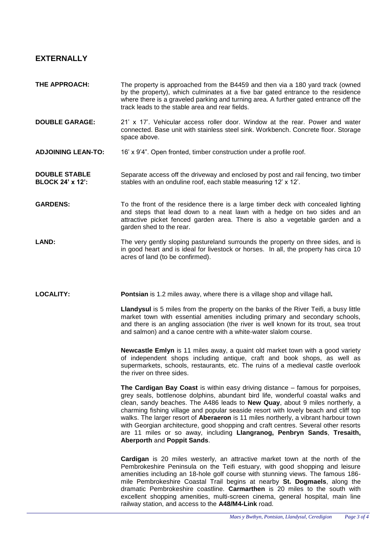## **EXTERNALLY**

- **THE APPROACH:** The property is approached from the B4459 and then via a 180 yard track (owned by the property), which culminates at a five bar gated entrance to the residence where there is a graveled parking and turning area. A further gated entrance off the track leads to the stable area and rear fields.
- **DOUBLE GARAGE:** 21' x 17'. Vehicular access roller door. Window at the rear. Power and water connected. Base unit with stainless steel sink. Workbench. Concrete floor. Storage space above.
- **ADJOINING LEAN-TO:** 16' x 9'4". Open fronted, timber construction under a profile roof.

**DOUBLE STABLE BLOCK 24' x 12':** Separate access off the driveway and enclosed by post and rail fencing, two timber stables with an onduline roof, each stable measuring 12' x 12'.

**GARDENS:** To the front of the residence there is a large timber deck with concealed lighting and steps that lead down to a neat lawn with a hedge on two sides and an attractive picket fenced garden area. There is also a vegetable garden and a garden shed to the rear.

**LAND:** The very gently sloping pastureland surrounds the property on three sides, and is in good heart and is ideal for livestock or horses. In all, the property has circa 10 acres of land (to be confirmed).

**LOCALITY: Pontsian** is 1.2 miles away, where there is a village shop and village hall**.**

**Llandysul** is 5 miles from the property on the banks of the River Teifi, a busy little market town with essential amenities including primary and secondary schools, and there is an angling association (the river is well known for its trout, sea trout and salmon) and a canoe centre with a white-water slalom course.

**Newcastle Emlyn** is 11 miles away, a quaint old market town with a good variety of independent shops including antique, craft and book shops, as well as supermarkets, schools, restaurants, etc. The ruins of a medieval castle overlook the river on three sides.

**The Cardigan Bay Coast** is within easy driving distance – famous for porpoises, grey seals, bottlenose dolphins, abundant bird life, wonderful coastal walks and clean, sandy beaches. The A486 leads to **New Quay**, about 9 miles northerly, a charming fishing village and popular seaside resort with lovely beach and cliff top walks. The larger resort of **Aberaeron** is 11 miles northerly, a vibrant harbour town with Georgian architecture, good shopping and craft centres. Several other resorts are 11 miles or so away, including **Llangranog, Penbryn Sands**, **Tresaith, Aberporth** and **Poppit Sands**.

**Cardigan** is 20 miles westerly, an attractive market town at the north of the Pembrokeshire Peninsula on the Teifi estuary, with good shopping and leisure amenities including an 18-hole golf course with stunning views. The famous 186 mile Pembrokeshire Coastal Trail begins at nearby **St. Dogmaels**, along the dramatic Pembrokeshire coastline. **Carmarthen** is 20 miles to the south with excellent shopping amenities, multi-screen cinema, general hospital, main line railway station, and access to the **A48/M4-Link** road.